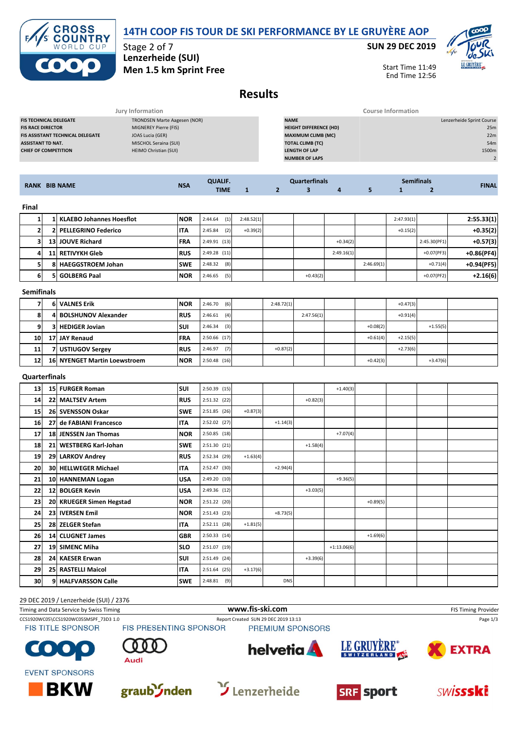



Stage 2 of 7 **Lenzerheide (SUI) Men 1.5 km Sprint Free** **SUN 29 DEC 2019**



Start Time 11:49 End Time 12:56

## **Results**

| <b>RANK BIB NAME</b>                    | <b>NSA</b>                   | <b>QUALIF.</b><br><b>TIME</b> | <b>Quarterfinals</b>          | <b>Semifinals</b>         | <b>FINAL</b>              |
|-----------------------------------------|------------------------------|-------------------------------|-------------------------------|---------------------------|---------------------------|
|                                         |                              |                               | <b>NUMBER OF LAPS</b>         |                           |                           |
| <b>CHIEF OF COMPETITION</b>             | HEIMO Christian (SUI)        |                               | <b>LENGTH OF LAP</b>          |                           | 1500m                     |
| <b>ASSISTANT TD NAT.</b>                | MISCHOL Seraina (SUI)        |                               | <b>TOTAL CLIMB (TC)</b>       |                           | 54m                       |
| <b>FIS ASSISTANT TECHNICAL DELEGATE</b> | JOAS Lucia (GER)             |                               | <b>MAXIMUM CLIMB (MC)</b>     |                           | 22m                       |
| <b>FIS RACE DIRECTOR</b>                | MIGNEREY Pierre (FIS)        |                               | <b>HEIGHT DIFFERENCE (HD)</b> |                           | 25m                       |
| <b>FIS TECHNICAL DELEGATE</b>           | TRONDSEN Marte Aagesen (NOR) |                               | <b>NAME</b>                   |                           | Lenzerheide Sprint Course |
|                                         | Jury Information             |                               |                               | <b>Course Information</b> |                           |

**TIME 1 2 3 4 5 1 2**

| Final |    |                                 |             |                |            |            |            |            |            |              |              |
|-------|----|---------------------------------|-------------|----------------|------------|------------|------------|------------|------------|--------------|--------------|
|       |    | <b>KLAEBO Johannes Hoesflot</b> | <b>INOR</b> | (1)<br>2:44.64 | 2:48.52(1) |            |            |            | 2:47.93(1) |              | 2:55.33(1)   |
|       |    | 2 PELLEGRINO Federico           | <b>ITA</b>  | (2)<br>2:45.84 | $+0.39(2)$ |            |            |            | $+0.15(2)$ |              | $+0.35(2)$   |
|       |    | 13 JOUVE Richard                | <b>FRA</b>  | 2:49.91(13)    |            |            | $+0.34(2)$ |            |            | 2:45.30(PF1) | $+0.57(3)$   |
|       |    | 11 RETIVYKH Gleb                | <b>RUS</b>  | 2:49.28(11)    |            |            | 2:49.16(1) |            |            | $+0.07(PF3)$ | $+0.86(PF4)$ |
|       | 81 | <b>HAEGGSTROEM Johan</b>        | <b>SWE</b>  | 2:48.32<br>(8) |            |            |            | 2:46.69(1) |            | $+0.71(4)$   | $+0.94(PF5)$ |
| 61    |    | 5 GOLBERG Paal                  | <b>NOR</b>  | (5)<br>2:46.65 |            | $+0.43(2)$ |            |            |            | $+0.07(PF2)$ | $+2.16(6)$   |

| <b>Semifinals</b> |  |
|-------------------|--|
|-------------------|--|

|           | <b>6 VALNES Erik</b>         | <b>NOR</b> | 2:46.70(6)     | 2:48.72(1) |            |            | $+0.47(3)$ |            |  |
|-----------|------------------------------|------------|----------------|------------|------------|------------|------------|------------|--|
| 8         | 4 BOLSHUNOV Alexander        | <b>RUS</b> | (4)<br>2:46.61 |            | 2:47.56(1) |            | $+0.91(4)$ |            |  |
| 9         | 3 HEDIGER Jovian             | <b>SUI</b> | $2:46.34$ (3)  |            |            | $+0.08(2)$ |            | $+1.55(5)$ |  |
| <b>10</b> | 17 JAY Renaud                | <b>FRA</b> | $2:50.66$ (17) |            |            | $+0.61(4)$ | $+2.15(5)$ |            |  |
| 11        | 7 USTIUGOV Sergey            | <b>RUS</b> | 2:46.97<br>(7) | $+0.87(2)$ |            |            | $+2.73(6)$ |            |  |
| 12        | 16 NYENGET Martin Loewstroem | <b>NOR</b> | $2:50.48$ (16) |            |            | $+0.42(3)$ |            | $+3.47(6)$ |  |

## **Quarterfinals**

| 13 | <b>15 FURGER Roman</b>      | <b>SUI</b> | 2:50.39 (15)   |            |            |            | $+1.40(3)$    |            |  |  |
|----|-----------------------------|------------|----------------|------------|------------|------------|---------------|------------|--|--|
| 14 | 22 MALTSEV Artem            | <b>RUS</b> | 2:51.32 (22)   |            |            | $+0.82(3)$ |               |            |  |  |
| 15 | 26 SVENSSON Oskar           | <b>SWE</b> | $2:51.85$ (26) | $+0.87(3)$ |            |            |               |            |  |  |
| 16 | 27 de FABIANI Francesco     | <b>ITA</b> | $2:52.02$ (27) |            | $+1.14(3)$ |            |               |            |  |  |
| 17 | 18 JENSSEN Jan Thomas       | <b>NOR</b> | 2:50.85 (18)   |            |            |            | $+7.07(4)$    |            |  |  |
| 18 | 21 WESTBERG Karl-Johan      | <b>SWE</b> | 2:51.30 (21)   |            |            | $+1.58(4)$ |               |            |  |  |
| 19 | 29 LARKOV Andrey            | <b>RUS</b> | 2:52.34 (29)   | $+1.63(4)$ |            |            |               |            |  |  |
| 20 | <b>30 HELLWEGER Michael</b> | <b>ITA</b> | 2:52.47 (30)   |            | $+2.94(4)$ |            |               |            |  |  |
| 21 | 10 HANNEMAN Logan           | <b>USA</b> | 2:49.20 (10)   |            |            |            | $+9.36(5)$    |            |  |  |
| 22 | 12 BOLGER Kevin             | <b>USA</b> | $2:49.36$ (12) |            |            | $+3.03(5)$ |               |            |  |  |
| 23 | 20 KRUEGER Simen Hegstad    | <b>NOR</b> | 2:51.22 (20)   |            |            |            |               | $+0.89(5)$ |  |  |
| 24 | 23 IVERSEN Emil             | <b>NOR</b> | $2:51.43$ (23) |            | $+8.73(5)$ |            |               |            |  |  |
| 25 | 28 ZELGER Stefan            | <b>ITA</b> | $2:52.11$ (28) | $+1.81(5)$ |            |            |               |            |  |  |
| 26 | 14 CLUGNET James            | <b>GBR</b> | $2:50.33$ (14) |            |            |            |               | $+1.69(6)$ |  |  |
| 27 | 19 SIMENC Miha              | <b>SLO</b> | 2:51.07 (19)   |            |            |            | $+1:13.06(6)$ |            |  |  |
| 28 | 24 KAESER Erwan             | <b>SUI</b> | 2:51.49 (24)   |            |            | $+3.39(6)$ |               |            |  |  |
| 29 | 25 RASTELLI Maicol          | <b>ITA</b> | $2:51.64$ (25) | $+3.17(6)$ |            |            |               |            |  |  |
| 30 | 9 HALFVARSSON Calle         | <b>SWE</b> | $2:48.81$ (9)  |            | <b>DNS</b> |            |               |            |  |  |

## 29 DEC 2019 / Lenzerheide (SUI) / 2376

Timing and Data Service by Swiss Timing **WWW.fis-Ski.com www.fis-ski.com** FIS Timing Provider CCS1920WC05\CCS1920WC05SMSPF\_73D3 1.0 Report Created SUN 29 DEC 2019 13:13 Page 1/3<br>FIS TITLE SPONSOR FIS PRESENTING SPONSOR PREMIUM SPONSORS PREMIUM SPONSORS LE GRUYÈRE® helvetia **A EXTRA**  $\bullet$ SWITZERLAND 407 **Audi EVENT SPONSORS** 









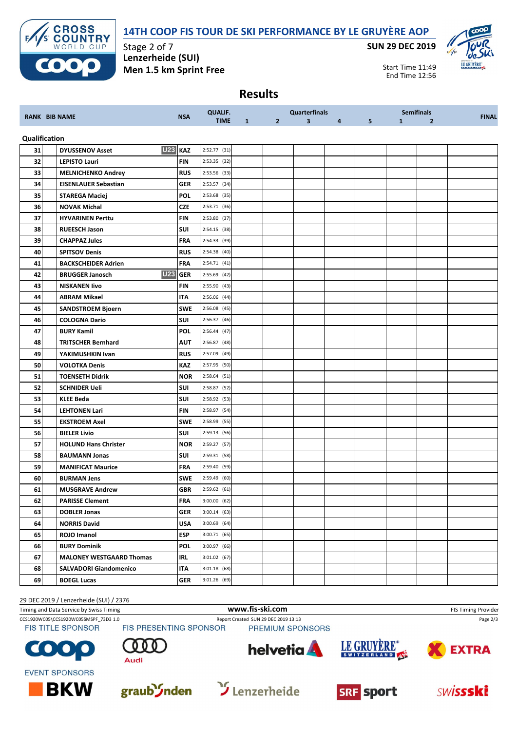



Stage 2 of 7 **Lenzerheide (SUI) Men 1.5 km Sprint Free** **SUN 29 DEC 2019**



Start Time 11:49 End Time 12:56

## **Results**

|               |                                          |            | <b>QUALIF.</b> |   |                | <b>Quarterfinals</b>    |                |   |              | <b>Semifinals</b> |              |
|---------------|------------------------------------------|------------|----------------|---|----------------|-------------------------|----------------|---|--------------|-------------------|--------------|
|               | <b>RANK BIB NAME</b>                     | <b>NSA</b> | <b>TIME</b>    | 1 | 2 <sup>2</sup> | $\overline{\mathbf{3}}$ | $\overline{4}$ | 5 | $\mathbf{1}$ | $\overline{2}$    | <b>FINAL</b> |
| Qualification |                                          |            |                |   |                |                         |                |   |              |                   |              |
| 31            | <b>U23 KAZ</b><br><b>DYUSSENOV Asset</b> |            | 2:52.77 (31)   |   |                |                         |                |   |              |                   |              |
| 32            | <b>LEPISTO Lauri</b>                     | <b>FIN</b> | 2:53.35 (32)   |   |                |                         |                |   |              |                   |              |
| 33            | <b>MELNICHENKO Andrey</b>                | <b>RUS</b> | 2:53.56 (33)   |   |                |                         |                |   |              |                   |              |
| 34            | <b>EISENLAUER Sebastian</b>              | <b>GER</b> | 2:53.57 (34)   |   |                |                         |                |   |              |                   |              |
| 35            | <b>STAREGA Maciej</b>                    | <b>POL</b> | 2:53.68 (35)   |   |                |                         |                |   |              |                   |              |
| 36            | <b>NOVAK Michal</b>                      | CZE        | 2:53.71 (36)   |   |                |                         |                |   |              |                   |              |
| 37            | <b>HYVARINEN Perttu</b>                  | FIN        | 2:53.80 (37)   |   |                |                         |                |   |              |                   |              |
| 38            | <b>RUEESCH Jason</b>                     | <b>SUI</b> | 2:54.15 (38)   |   |                |                         |                |   |              |                   |              |
| 39            | <b>CHAPPAZ Jules</b>                     | <b>FRA</b> | 2:54.33 (39)   |   |                |                         |                |   |              |                   |              |
| 40            | <b>SPITSOV Denis</b>                     | <b>RUS</b> | 2:54.38 (40)   |   |                |                         |                |   |              |                   |              |
| 41            | <b>BACKSCHEIDER Adrien</b>               | <b>FRA</b> | 2:54.71(41)    |   |                |                         |                |   |              |                   |              |
| 42            | <b>U23</b><br><b>BRUGGER Janosch</b>     | <b>GER</b> | 2:55.69 (42)   |   |                |                         |                |   |              |                   |              |
| 43            | <b>NISKANEN livo</b>                     | <b>FIN</b> | 2:55.90 (43)   |   |                |                         |                |   |              |                   |              |
| 44            | <b>ABRAM Mikael</b>                      | <b>ITA</b> | 2:56.06 (44)   |   |                |                         |                |   |              |                   |              |
| 45            | <b>SANDSTROEM Bjoern</b>                 | <b>SWE</b> | 2:56.08 (45)   |   |                |                         |                |   |              |                   |              |
| 46            | <b>COLOGNA Dario</b>                     | SUI        | 2:56.37 (46)   |   |                |                         |                |   |              |                   |              |
| 47            | <b>BURY Kamil</b>                        | <b>POL</b> | 2:56.44 (47)   |   |                |                         |                |   |              |                   |              |
| 48            | <b>TRITSCHER Bernhard</b>                | AUT        | 2:56.87 (48)   |   |                |                         |                |   |              |                   |              |
| 49            | YAKIMUSHKIN Ivan                         | <b>RUS</b> | 2:57.09 (49)   |   |                |                         |                |   |              |                   |              |
| 50            | <b>VOLOTKA Denis</b>                     | <b>KAZ</b> | 2:57.95 (50)   |   |                |                         |                |   |              |                   |              |
| 51            | <b>TOENSETH Didrik</b>                   | <b>NOR</b> | 2:58.64 (51)   |   |                |                         |                |   |              |                   |              |
| 52            | <b>SCHNIDER Ueli</b>                     | <b>SUI</b> | 2:58.87 (52)   |   |                |                         |                |   |              |                   |              |
| 53            | <b>KLEE Beda</b>                         | <b>SUI</b> | 2:58.92 (53)   |   |                |                         |                |   |              |                   |              |
| 54            | <b>LEHTONEN Lari</b>                     | FIN        | 2:58.97 (54)   |   |                |                         |                |   |              |                   |              |
| 55            | <b>EKSTROEM Axel</b>                     | <b>SWE</b> | 2:58.99 (55)   |   |                |                         |                |   |              |                   |              |
| 56            | <b>BIELER Livio</b>                      | <b>SUI</b> | 2:59.13 (56)   |   |                |                         |                |   |              |                   |              |
| 57            | <b>HOLUND Hans Christer</b>              | <b>NOR</b> | 2:59.27 (57)   |   |                |                         |                |   |              |                   |              |
| 58            | <b>BAUMANN Jonas</b>                     | <b>SUI</b> | 2:59.31 (58)   |   |                |                         |                |   |              |                   |              |
| 59            | <b>MANIFICAT Maurice</b>                 | <b>FRA</b> | 2:59.40 (59)   |   |                |                         |                |   |              |                   |              |
| 60            | <b>BURMAN Jens</b>                       | <b>SWE</b> | 2:59.49 (60)   |   |                |                         |                |   |              |                   |              |
| 61            | <b>MUSGRAVE Andrew</b>                   | GBR        | 2:59.62 (61)   |   |                |                         |                |   |              |                   |              |
| 62            | <b>PARISSE Clement</b>                   | <b>FRA</b> | 3:00.00(62)    |   |                |                         |                |   |              |                   |              |
| 63            | <b>DOBLER Jonas</b>                      | <b>GER</b> | 3:00.14(63)    |   |                |                         |                |   |              |                   |              |
| 64            | <b>NORRIS David</b>                      | <b>USA</b> | $3:00.69$ (64) |   |                |                         |                |   |              |                   |              |
| 65            | ROJO Imanol                              | <b>ESP</b> | 3:00.71 (65)   |   |                |                         |                |   |              |                   |              |
| 66            | <b>BURY Dominik</b>                      | <b>POL</b> | 3:00.97 (66)   |   |                |                         |                |   |              |                   |              |
| 67            | <b>MALONEY WESTGAARD Thomas</b>          | <b>IRL</b> | 3:01.02 (67)   |   |                |                         |                |   |              |                   |              |
| 68            | <b>SALVADORI Giandomenico</b>            | <b>ITA</b> | $3:01.18$ (68) |   |                |                         |                |   |              |                   |              |
| 69            | <b>BOEGL Lucas</b>                       | <b>GER</b> | 3:01.26 (69)   |   |                |                         |                |   |              |                   |              |

29 DEC 2019 / Lenzerheide (SUI) / 2376

Timing and Data Service by Swiss Timing **WWW.fis-Ski.com WWW.fis-Ski.com** FIS Timing Provider

CCS1920WC05\CCS1920WC05SMSPF\_73D3 1.0 Report Created SUN 29 DEC 2019 13:13 Page 2/3<br>FIS TITLE SPONSOR FIS PRESENTING SPONSOR PREMIUM SPONSORS

 $\bullet$ 







PREMIUM SPONSORS







**EVENT SPONSORS**